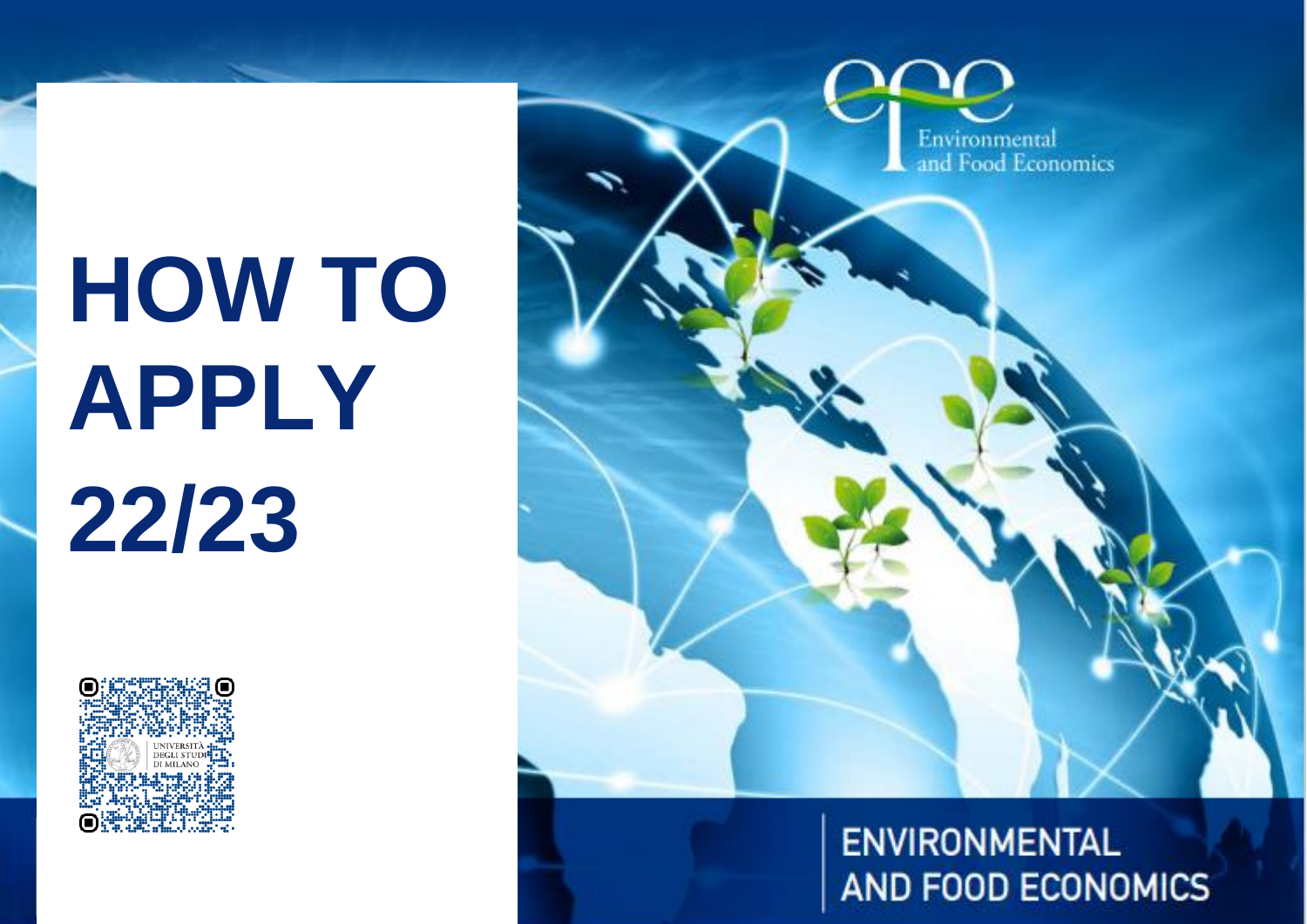# **HOW TO APPLY 22/23**





**ENVIRONMENTAL AND FOOD ECONOMICS**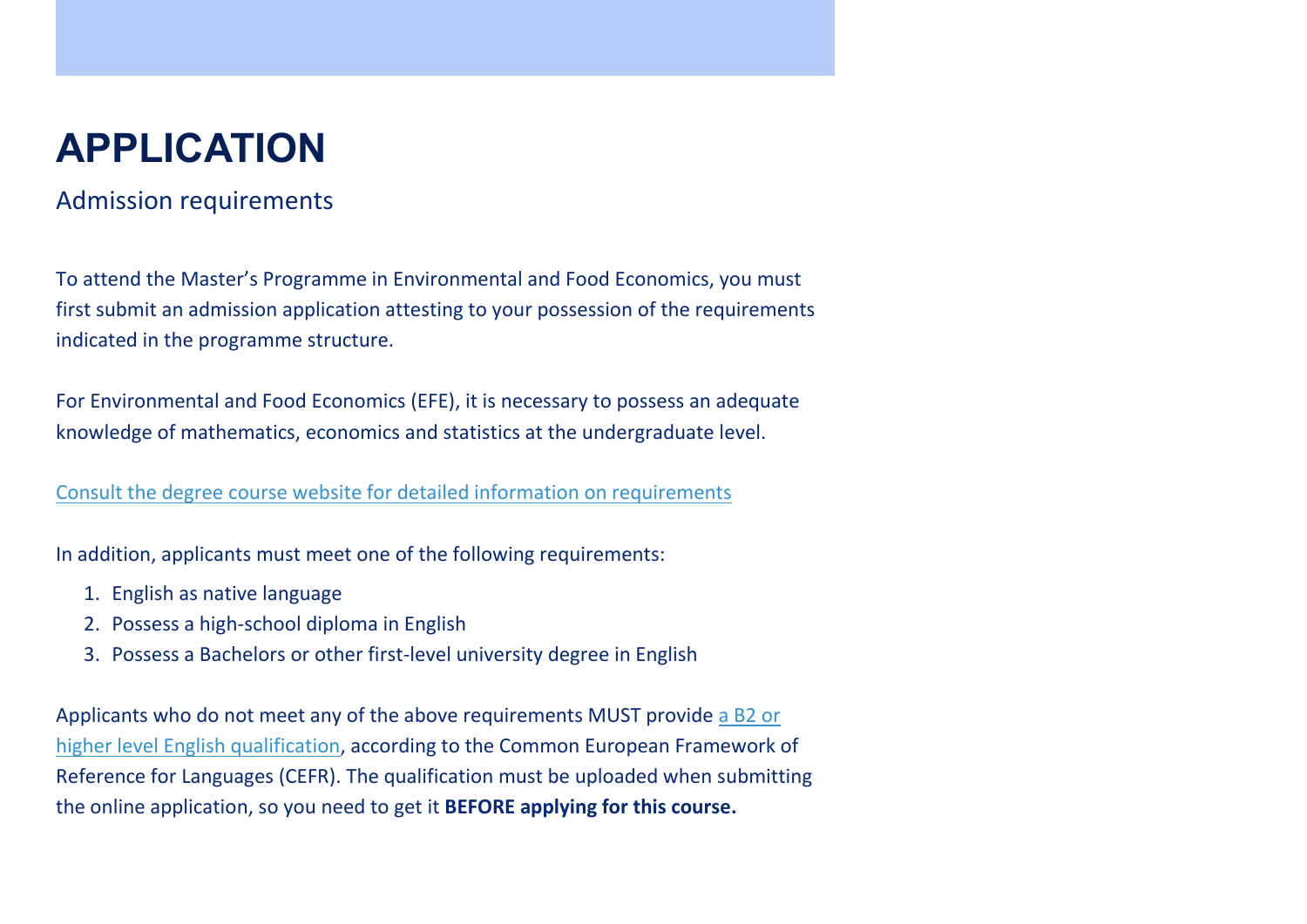## **APPLICATION**

### Admission requirements

To attend the Master's Programme in Environmental and Food Economics, you must first submit an admission application attesting to your possession of the requirements indicated in the programme structure.

For Environmental and Food Economics (EFE), it is necessary to possess an adequate knowledge of mathematics, economics and statistics at the undergraduate level.

[Consult the degree course website for detailed information on requirements](https://efe.cdl.unimi.it/en/programme/environmental-and-food-economics)

In addition, applicants must meet one of the following requirements:

- 1. English as native language
- 2. Possess a high-school diploma in English
- 3. Possess a Bachelors or other first-level university degree in English

Applicants who do not meet any of the above requirements MUST provide [a B2 or](https://www.unimi.it/sites/default/files/2020-10/certificazioniENG_Oct2020_1.pdf)  [higher level English qualification,](https://www.unimi.it/sites/default/files/2020-10/certificazioniENG_Oct2020_1.pdf) according to the Common European Framework of Reference for Languages (CEFR). The qualification must be uploaded when submitting the online application, so you need to get it **BEFORE applying for this course.**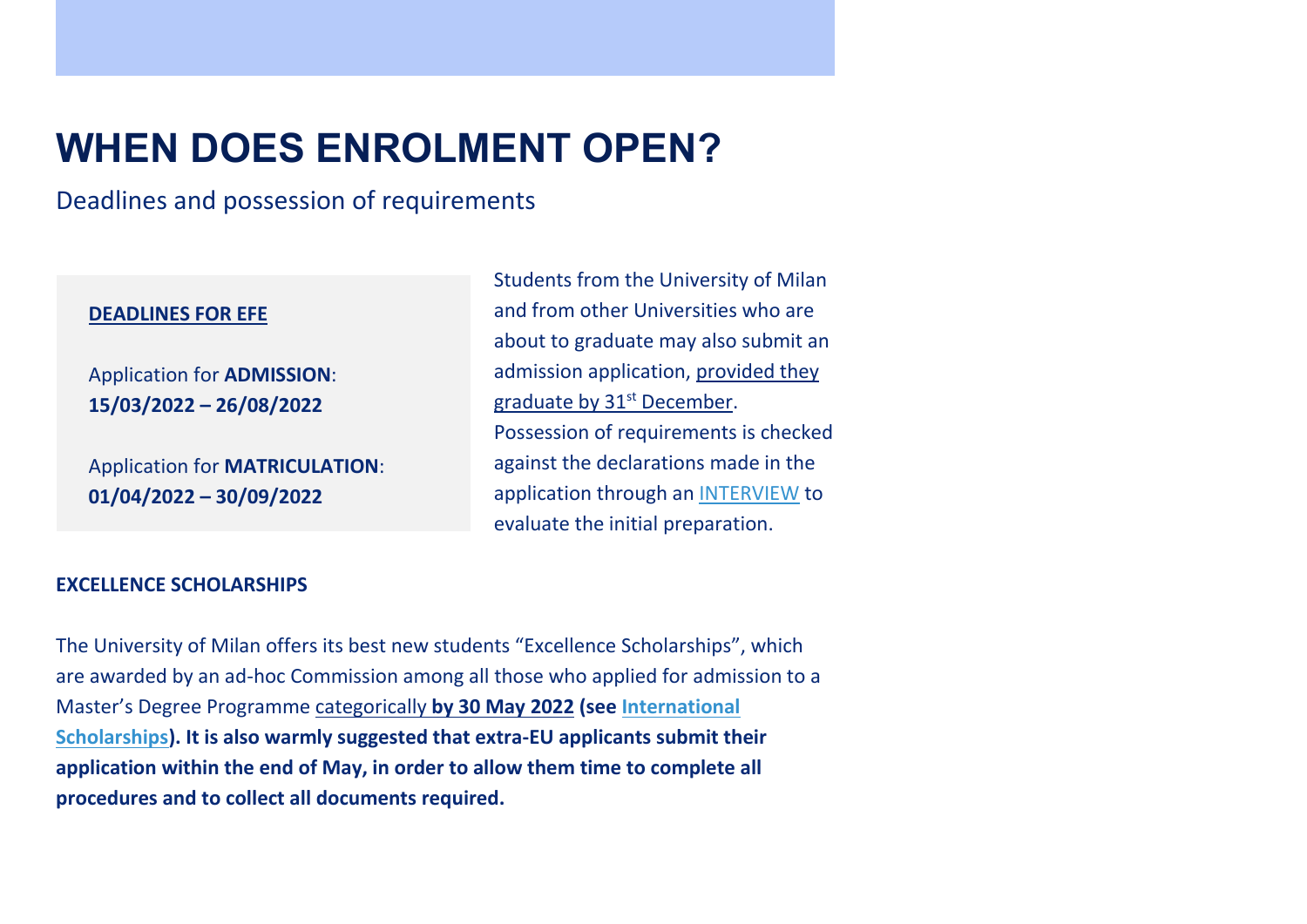## **WHEN DOES ENROLMENT OPEN?**

Deadlines and possession of requirements

#### **DEADLINES FOR EFE**

Application for **ADMISSION**: **15/03/2022 – 26/08/2022**

Application for **MATRICULATION**: **01/04/2022 – 30/09/2022**

Students from the University of Milan and from other Universities who are about to graduate may also submit an admission application, provided they graduate by 31<sup>st</sup> December. Possession of requirements is checked against the declarations made in the application through an [INTERVIEW](https://efe.cdl.unimi.it/en/enrolment) to evaluate the initial preparation.

#### **EXCELLENCE SCHOLARSHIPS**

The University of Milan offers its best new students "Excellence Scholarships", which are awarded by an ad-hoc Commission among all those who applied for admission to a Master's Degree Programme categorically **by 30 May 2022 (see [International](https://www.unimi.it/en/study/financial-support/international-scholarships)  [Scholarships\)](https://www.unimi.it/en/study/financial-support/international-scholarships). It is also warmly suggested that extra-EU applicants submit their application within the end of May, in order to allow them time to complete all procedures and to collect all documents required.**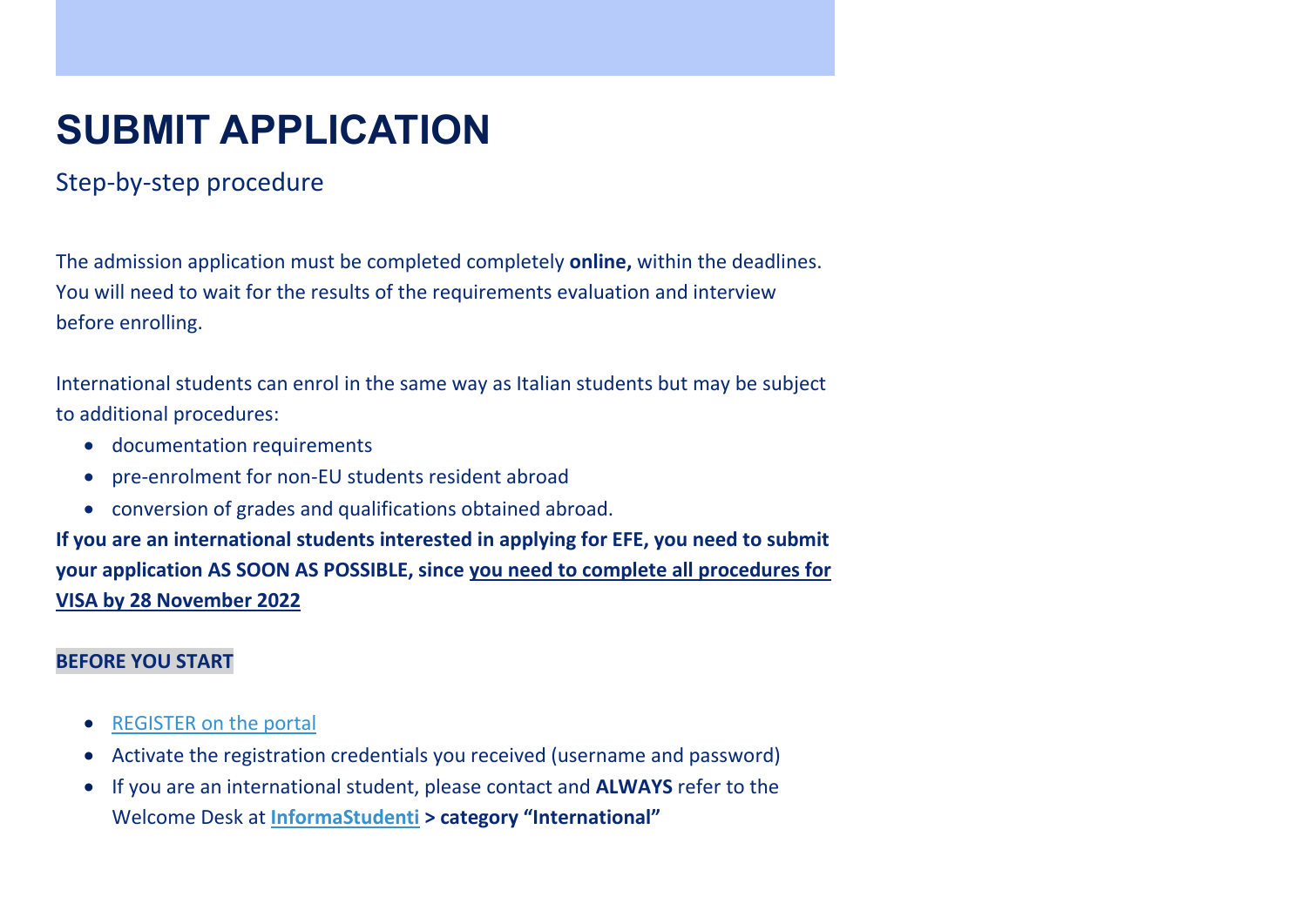# **SUBMIT APPLICATION**

### Step-by-step procedure

The admission application must be completed completely **online,** within the deadlines. You will need to wait for the results of the requirements evaluation and interview before enrolling.

International students can enrol in the same way as Italian students but may be subject to additional procedures:

- documentation requirements
- pre-enrolment for non-EU students resident abroad
- conversion of grades and qualifications obtained abroad.

**If you are an international students interested in applying for EFE, you need to submit your application AS SOON AS POSSIBLE, since you need to complete all procedures for VISA by 28 November 2022**

#### **BEFORE YOU START**

- [REGISTER on the portal](https://registrazione.unimi.it/reg_utenti_esterni/ENG/registrazione/form.html)
- Activate the registration credentials you received (username and password)
- If you are an international student, please contact and **ALWAYS** refer to the Welcome Desk at **[InformaStudenti](https://www.unimi.it/en/study/student-services/welcome-desk-informastudenti) > category "International"**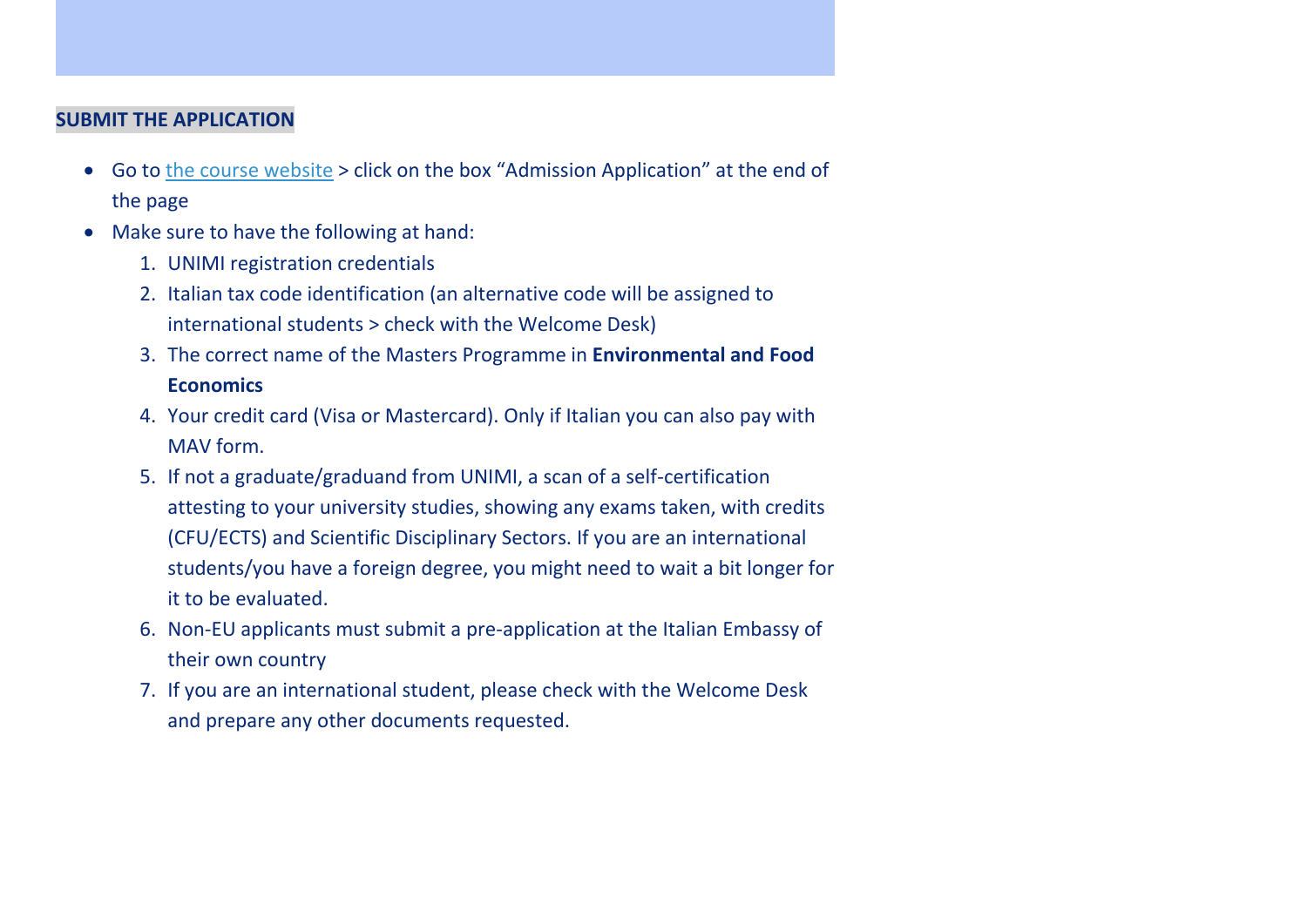#### **SUBMIT THE APPLICATION**

- Go to [the course website](https://efe.cdl.unimi.it/en/enrolment) > click on the box "Admission Application" at the end of the page
- Make sure to have the following at hand:
	- 1. UNIMI registration credentials
	- 2. Italian tax code identification (an alternative code will be assigned to international students > check with the Welcome Desk)
	- 3. The correct name of the Masters Programme in **Environmental and Food Economics**
	- 4. Your credit card (Visa or Mastercard). Only if Italian you can also pay with MAV form.
	- 5. If not a graduate/graduand from UNIMI, a scan of a self-certification attesting to your university studies, showing any exams taken, with credits (CFU/ECTS) and Scientific Disciplinary Sectors. If you are an international students/you have a foreign degree, you might need to wait a bit longer for it to be evaluated.
	- 6. Non-EU applicants must submit a pre-application at the Italian Embassy of their own country
	- 7. If you are an international student, please check with the Welcome Desk and prepare any other documents requested.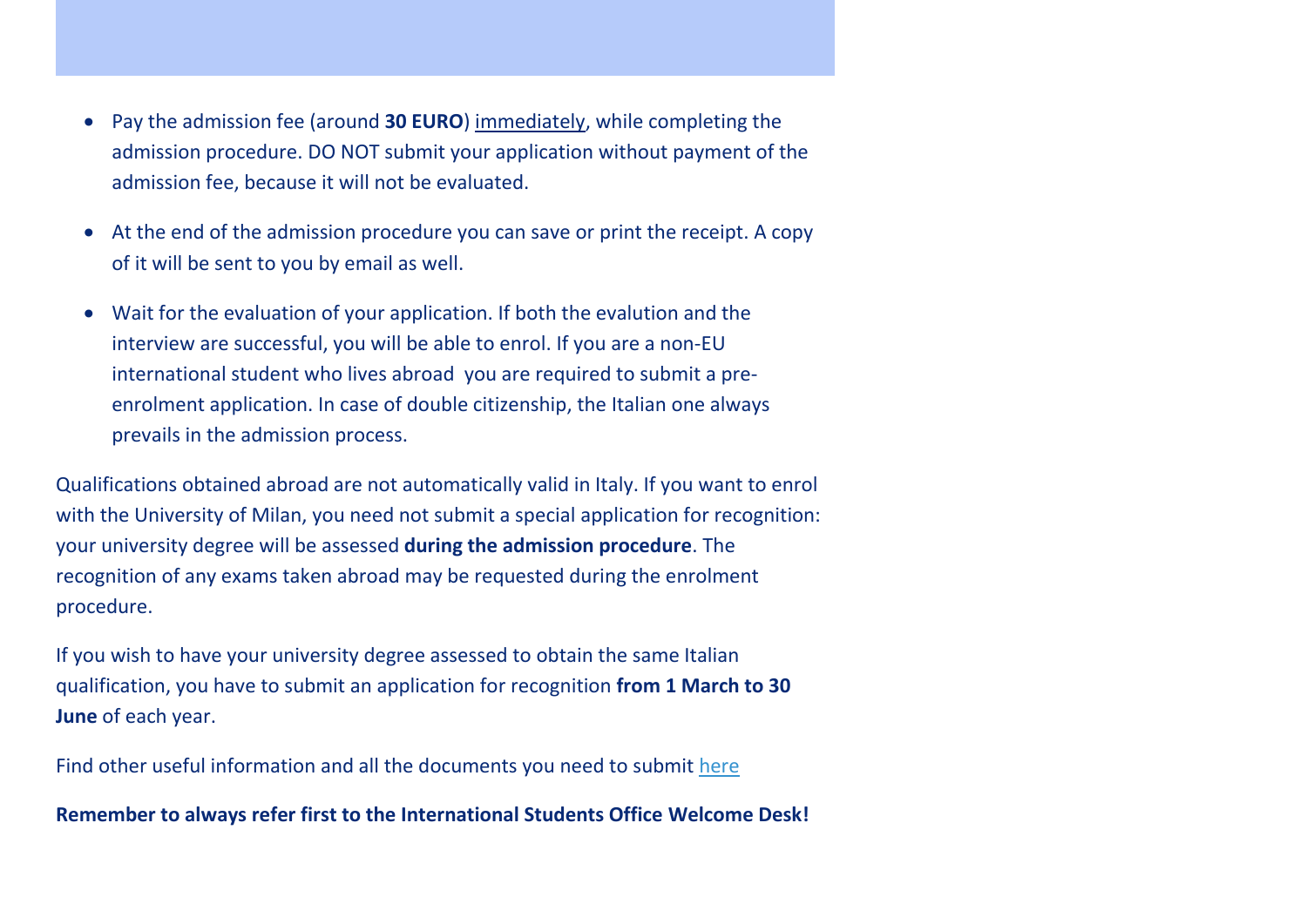- Pay the admission fee (around **30 EURO**) immediately, while completing the admission procedure. DO NOT submit your application without payment of the admission fee, because it will not be evaluated.
- At the end of the admission procedure you can save or print the receipt. A copy of it will be sent to you by email as well.
- Wait for the evaluation of your application. If both the evalution and the interview are successful, you will be able to enrol. If you are a non-EU international student who lives abroad you are required to submit a preenrolment application. In case of double citizenship, the Italian one always prevails in the admission process.

Qualifications obtained abroad are not automatically valid in Italy. If you want to enrol with the University of Milan, you need not submit a special application for recognition: your university degree will be assessed **during the admission procedure**. The recognition of any exams taken abroad may be requested during the enrolment procedure.

If you wish to have your university degree assessed to obtain the same Italian qualification, you have to submit an application for recognition **from 1 March to 30 June** of each year.

Find other useful information and all the documents you need to submit [here](https://www.unimi.it/en/international/coming-abroad/recognition-foreign-academic-qualifications-and-exams)

**Remember to always refer first to the International Students Office Welcome Desk!**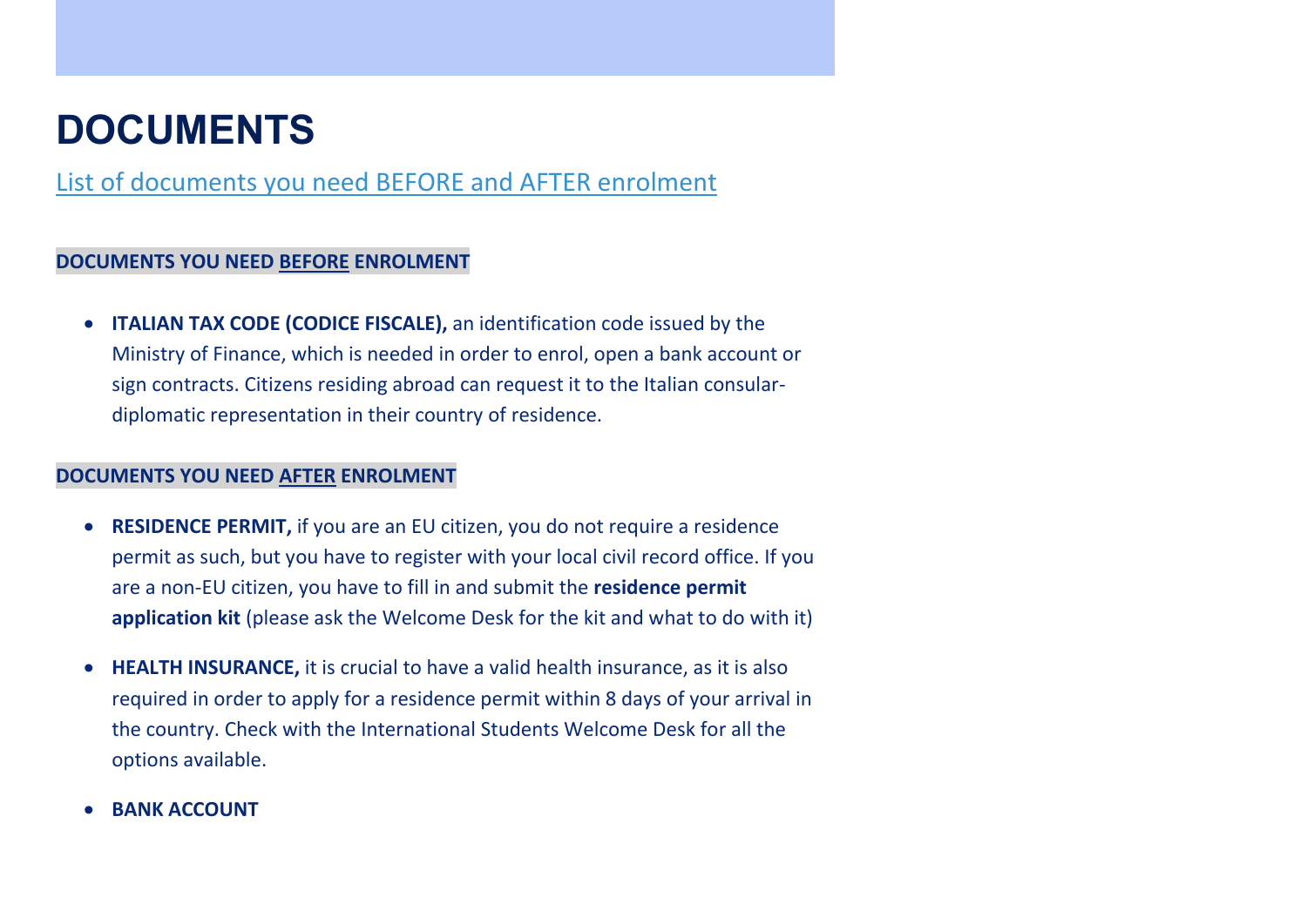### **DOCUMENTS**

[List of documents you need BEFORE and AFTER enrolment](https://www.unimi.it/en/international/coming-abroad/residency-documents)

#### **DOCUMENTS YOU NEED BEFORE ENROLMENT**

 **ITALIAN TAX CODE (CODICE FISCALE),** an identification code issued by the Ministry of Finance, which is needed in order to enrol, open a bank account or sign contracts. Citizens residing abroad can request it to the Italian consulardiplomatic representation in their country of residence.

#### **DOCUMENTS YOU NEED AFTER ENROLMENT**

- **RESIDENCE PERMIT,** if you are an EU citizen, you do not require a residence permit as such, but you have to register with your local civil record office. If you are a non-EU citizen, you have to fill in and submit the **residence permit application kit** (please ask the Welcome Desk for the kit and what to do with it)
- **HEALTH INSURANCE,** it is crucial to have a valid health insurance, as it is also required in order to apply for a residence permit within 8 days of your arrival in the country. Check with the International Students Welcome Desk for all the options available.
- **BANK ACCOUNT**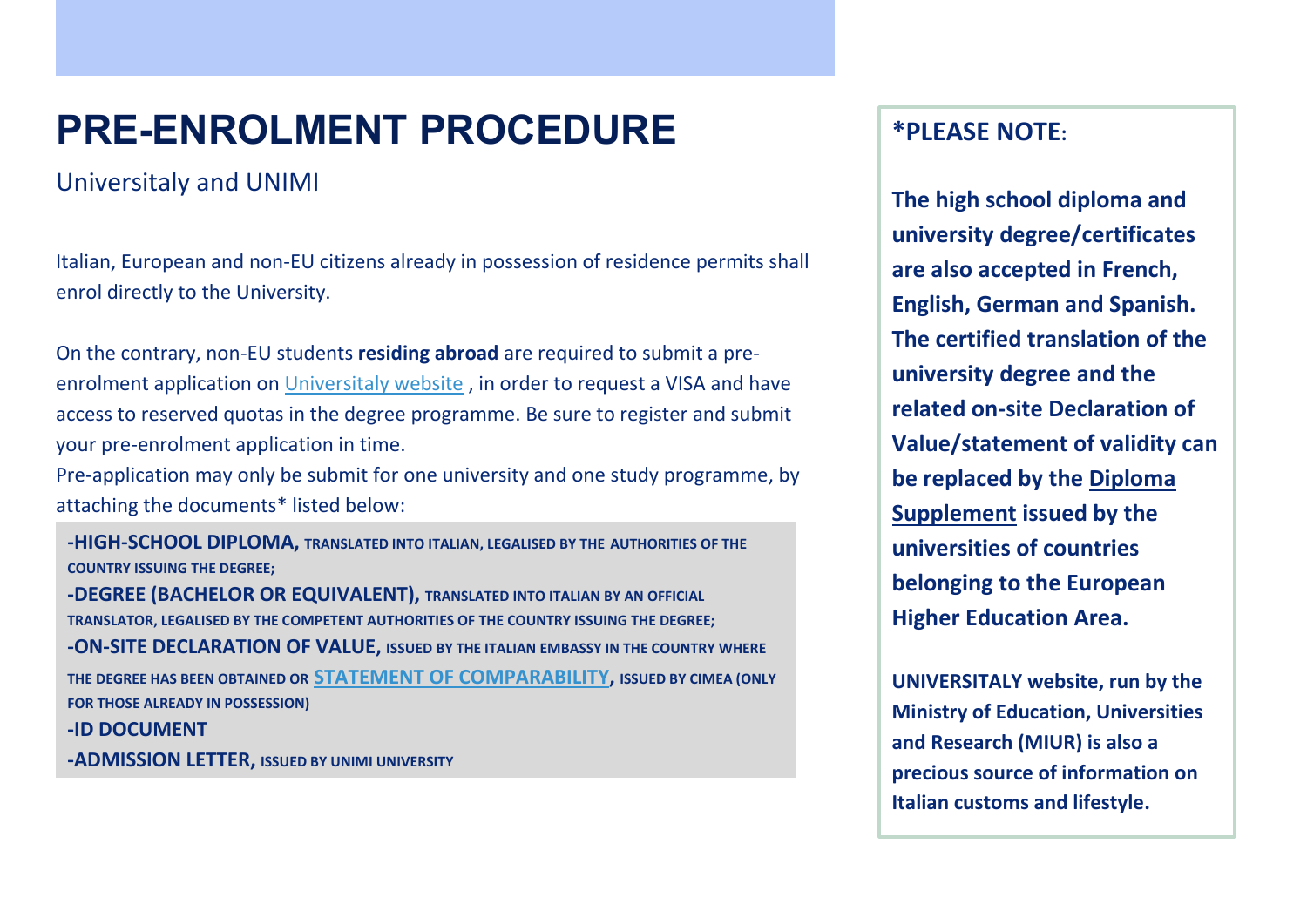# **PRE-ENROLMENT PROCEDURE**

Universitaly and UNIMI

Italian, European and non-EU citizens already in possession of residence permits shall enrol directly to the University.

On the contrary, non-EU students **residing abroad** are required to submit a preenrolment application on [Universitaly website](https://www.universitaly.it/index.php/registration/firststep) , in order to request a VISA and have access to reserved quotas in the degree programme. Be sure to register and submit your pre-enrolment application in time.

Pre-application may only be submit for one university and one study programme, by attaching the documents\* listed below:

**-HIGH-SCHOOL DIPLOMA, TRANSLATED INTO ITALIAN, LEGALISED BY THE AUTHORITIES OF THE COUNTRY ISSUING THE DEGREE; -DEGREE (BACHELOR OR EQUIVALENT), TRANSLATED INTO ITALIAN BY AN OFFICIAL TRANSLATOR, LEGALISED BY THE COMPETENT AUTHORITIES OF THE COUNTRY ISSUING THE DEGREE; -ON-SITE DECLARATION OF VALUE, ISSUED BY THE ITALIAN EMBASSY IN THE COUNTRY WHERE THE DEGREE HAS BEEN OBTAINED OR [STATEMENT OF COMPARABILITY,](http://www.cimea.it/en/servizi/attestati-di-comparabilita-e-certificazione-dei-titoli/attestati-di-comparabilita-e-di-verifica-dei-titoli-diplome.aspx) ISSUED BY CIMEA (ONLY FOR THOSE ALREADY IN POSSESSION) -ID DOCUMENT**

**-ADMISSION LETTER, ISSUED BY UNIMI UNIVERSITY**

### **\*PLEASE NOTE:**

**The high school diploma and university degree/certificates are also accepted in French, English, German and Spanish. The certified translation of the university degree and the related on-site Declaration of Value/statement of validity can be replaced by the Diploma Supplement issued by the universities of countries belonging to the European Higher Education Area.**

**UNIVERSITALY website, run by the Ministry of Education, Universities and Research (MIUR) is also a precious source of information on Italian customs and lifestyle.**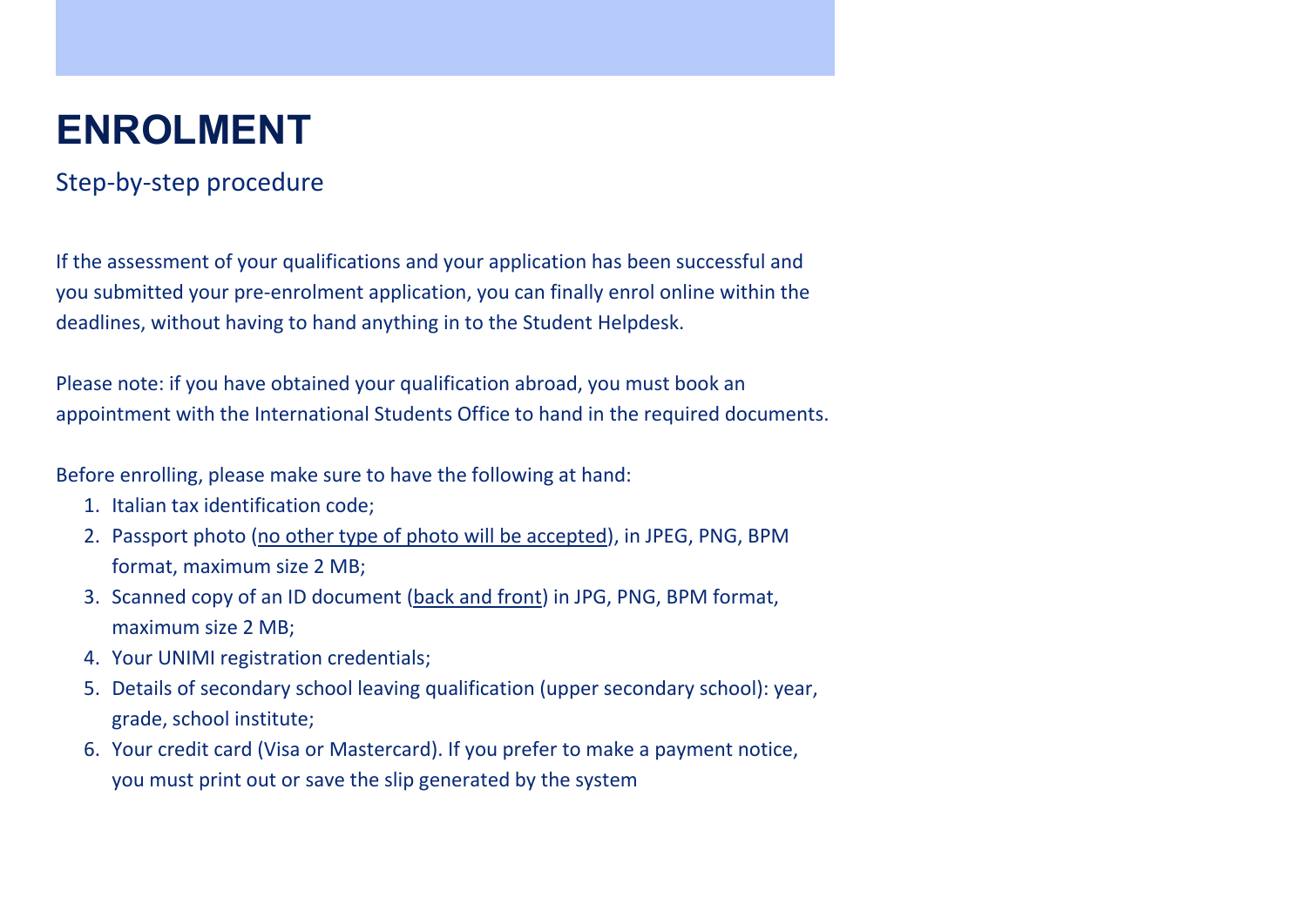# **ENROLMENT**

### Step-by-step procedure

If the assessment of your qualifications and your application has been successful and you submitted your pre-enrolment application, you can finally enrol online within the deadlines, without having to hand anything in to the Student Helpdesk.

Please note: if you have obtained your qualification abroad, you must book an appointment with the International Students Office to hand in the required documents.

Before enrolling, please make sure to have the following at hand:

- 1. Italian tax identification code;
- 2. Passport photo (no other type of photo will be accepted), in JPEG, PNG, BPM format, maximum size 2 MB;
- 3. Scanned copy of an ID document (back and front) in JPG, PNG, BPM format, maximum size 2 MB;
- 4. Your UNIMI registration credentials;
- 5. Details of secondary school leaving qualification (upper secondary school): year, grade, school institute;
- 6. Your credit card (Visa or Mastercard). If you prefer to make a payment notice, you must print out or save the slip generated by the system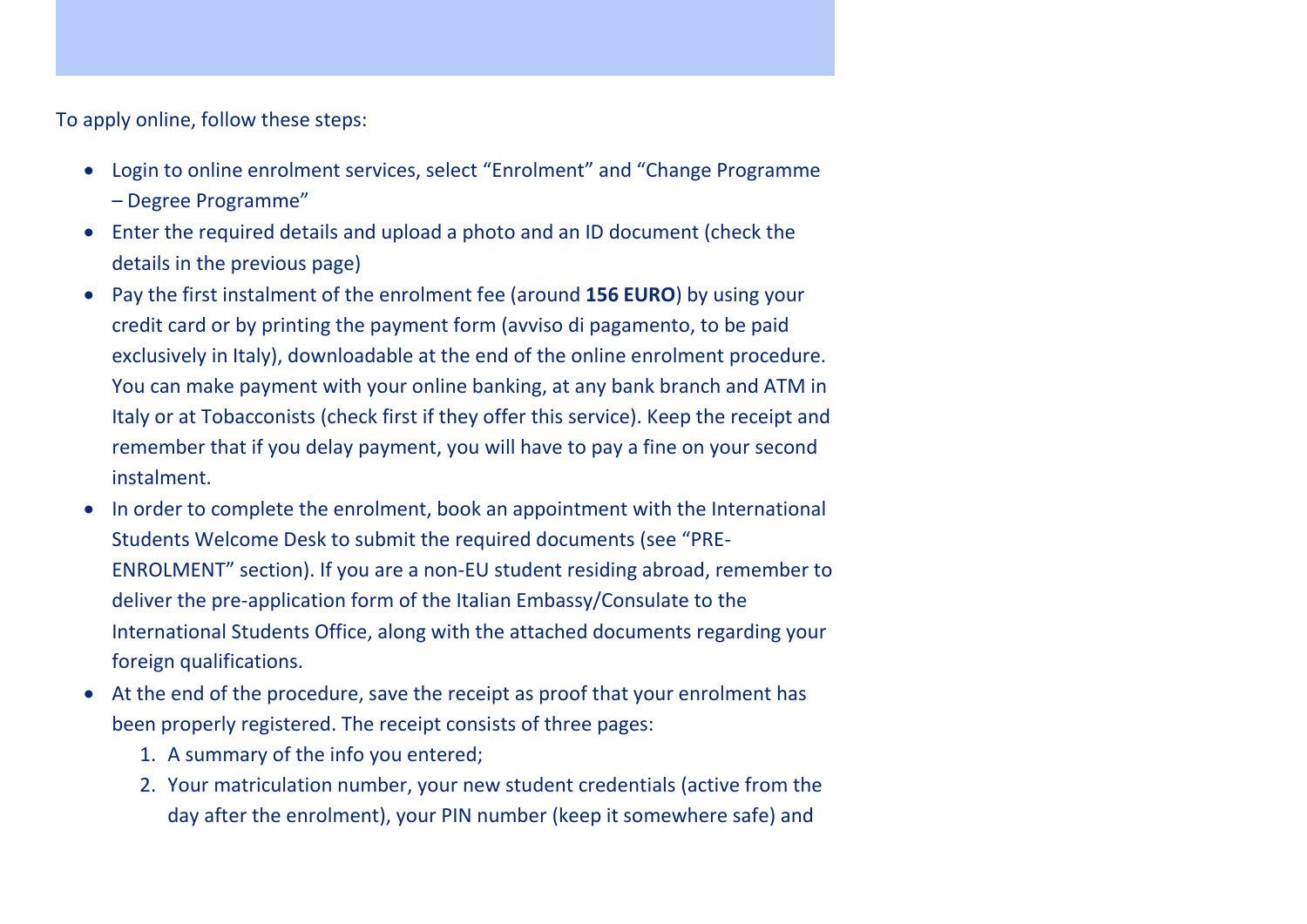To apply online, follow these steps:

- Login to online enrolment services, select "Enrolment" and "Change Programme
	- Degree Programme"
- Enter the required details and upload a photo and an ID document (check the details in the previous page)
- Pay the first instalment of the enrolment fee (around **156 EURO**) by using your credit card or by printing the payment form (avviso di pagamento, to be paid exclusively in Italy), downloadable at the end of the online enrolment procedure. You can make payment with your online banking, at any bank branch and ATM in Italy or at Tobacconists (check first if they offer this service). Keep the receipt and remember that if you delay payment, you will have to pay a fine on your second instalment.
- In order to complete the enrolment, book an appointment with the International Students Welcome Desk to submit the required documents (see "PRE-ENROLMENT" section). If you are a non-EU student residing abroad, remember to deliver the pre-application form of the Italian Embassy/Consulate to the International Students Office, along with the attached documents regarding your foreign qualifications.
- At the end of the procedure, save the receipt as proof that your enrolment has been properly registered. The receipt consists of three pages:
	- 1. A summary of the info you entered;
	- 2. Your matriculation number, your new student credentials (active from the day after the enrolment), your PIN number (keep it somewhere safe) and